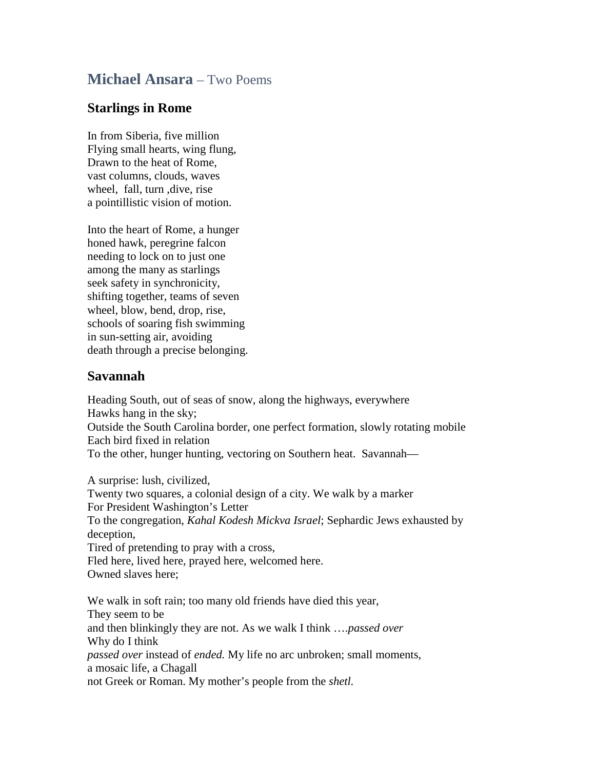## **Michael Ansara** – Two Poems

## **Starlings in Rome**

In from Siberia, five million Flying small hearts, wing flung, Drawn to the heat of Rome, vast columns, clouds, waves wheel, fall, turn ,dive, rise a pointillistic vision of motion.

Into the heart of Rome, a hunger honed hawk, peregrine falcon needing to lock on to just one among the many as starlings seek safety in synchronicity, shifting together, teams of seven wheel, blow, bend, drop, rise, schools of soaring fish swimming in sun-setting air, avoiding death through a precise belonging.

## **Savannah**

Heading South, out of seas of snow, along the highways, everywhere Hawks hang in the sky; Outside the South Carolina border, one perfect formation, slowly rotating mobile Each bird fixed in relation To the other, hunger hunting, vectoring on Southern heat. Savannah—

A surprise: lush, civilized, Twenty two squares, a colonial design of a city. We walk by a marker For President Washington's Letter To the congregation, *Kahal Kodesh Mickva Israel*; Sephardic Jews exhausted by deception, Tired of pretending to pray with a cross, Fled here, lived here, prayed here, welcomed here. Owned slaves here;

We walk in soft rain; too many old friends have died this year, They seem to be and then blinkingly they are not. As we walk I think ….*passed over* Why do I think *passed over* instead of *ended.* My life no arc unbroken; small moments, a mosaic life, a Chagall not Greek or Roman. My mother's people from the *shetl.*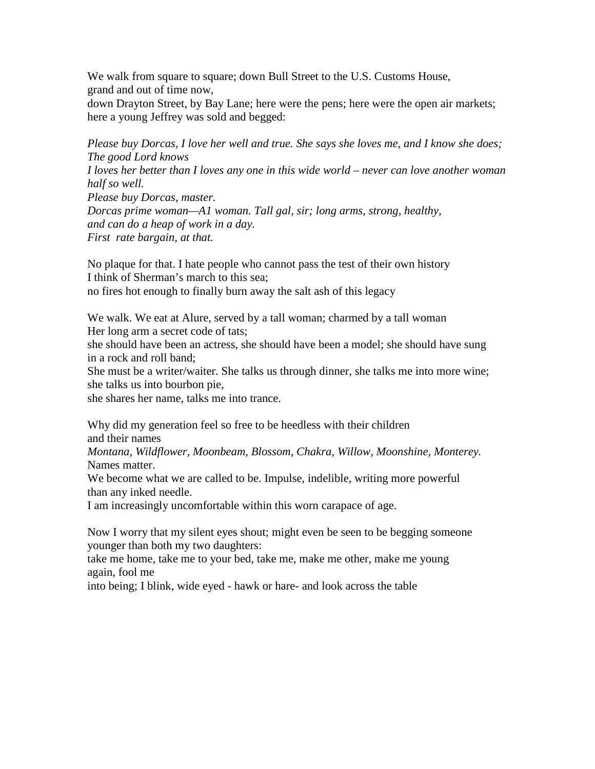We walk from square to square; down Bull Street to the U.S. Customs House, grand and out of time now,

down Drayton Street, by Bay Lane; here were the pens; here were the open air markets; here a young Jeffrey was sold and begged:

*Please buy Dorcas, I love her well and true. She says she loves me, and I know she does; The good Lord knows I loves her better than I loves any one in this wide world – never can love another woman half so well. Please buy Dorcas, master. Dorcas prime woman—A1 woman. Tall gal, sir; long arms, strong, healthy, and can do a heap of work in a day. First rate bargain, at that.*

No plaque for that. I hate people who cannot pass the test of their own history I think of Sherman's march to this sea; no fires hot enough to finally burn away the salt ash of this legacy

We walk. We eat at Alure, served by a tall woman; charmed by a tall woman Her long arm a secret code of tats;

she should have been an actress, she should have been a model; she should have sung in a rock and roll band;

She must be a writer/waiter. She talks us through dinner, she talks me into more wine; she talks us into bourbon pie,

she shares her name, talks me into trance.

Why did my generation feel so free to be heedless with their children and their names

*Montana, Wildflower, Moonbeam, Blossom, Chakra, Willow, Moonshine, Monterey.* Names matter.

We become what we are called to be. Impulse, indelible, writing more powerful than any inked needle.

I am increasingly uncomfortable within this worn carapace of age.

Now I worry that my silent eyes shout; might even be seen to be begging someone younger than both my two daughters:

take me home, take me to your bed, take me, make me other, make me young again, fool me

into being; I blink, wide eyed - hawk or hare- and look across the table